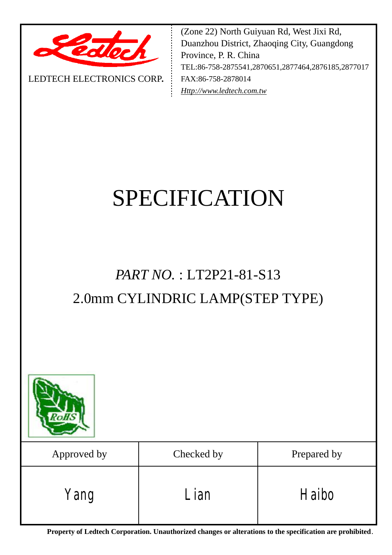

LEDTECH ELECTRONICS CORP**.**

(Zone 22) North Guiyuan Rd, West Jixi Rd, Duanzhou District, Zhaoqing City, Guangdong Province, P. R. China TEL:86-758-2875541,2870651,2877464,2876185,2877017 FAX:86-758-2878014 *[Http://www.ledtech.com.tw](http://www.ledtech.com.tw)*

# SPECIFICATION

## *PART NO.* : LT2P21-81-S13 2.0mm CYLINDRIC LAMP(STEP TYPE)



| Approved by | Checked by | Prepared by |
|-------------|------------|-------------|
| Yang        | Lian       | Haibo       |

**Property of Ledtech Corporation. Unauthorized changes or alterations to the specification are prohibited***.*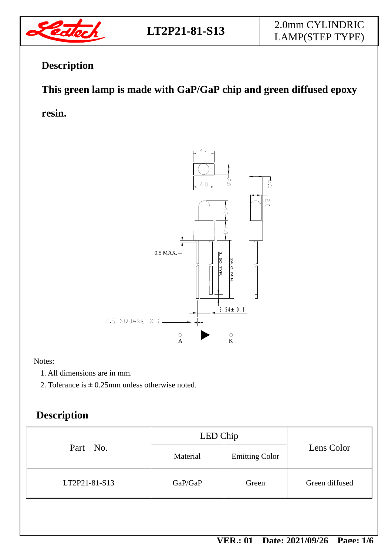

## **Description**

## **This green lamp is made with GaP/GaP chip and green diffused epoxy**

**resin.** 



Notes:

- 1. All dimensions are in mm.
- 2. Tolerance is  $\pm$  0.25mm unless otherwise noted.

## **Description**

|               | LED Chip |                       |                |  |
|---------------|----------|-----------------------|----------------|--|
| Part No.      | Material | <b>Emitting Color</b> | Lens Color     |  |
| LT2P21-81-S13 | GaP/GaP  | Green                 | Green diffused |  |
|               |          |                       |                |  |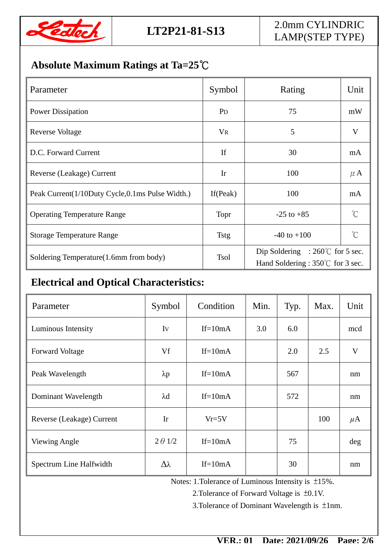

## **Absolute Maximum Ratings at Ta=25℃**

| Parameter                                       | Symbol         | Rating                                                                                | Unit        |
|-------------------------------------------------|----------------|---------------------------------------------------------------------------------------|-------------|
| <b>Power Dissipation</b>                        | P <sub>D</sub> | 75                                                                                    | mW          |
| Reverse Voltage                                 | <b>VR</b>      | 5                                                                                     | V           |
| D.C. Forward Current                            | If             | 30                                                                                    | mA          |
| Reverse (Leakage) Current                       | Ir             | 100                                                                                   | $\mu$ A     |
| Peak Current(1/10Duty Cycle,0.1ms Pulse Width.) | If $(Peak)$    | 100                                                                                   | mA          |
| <b>Operating Temperature Range</b>              | Topr           | $-25$ to $+85$                                                                        | $^{\circ}C$ |
| <b>Storage Temperature Range</b>                | <b>Tstg</b>    | $-40$ to $+100$                                                                       | $^{\circ}C$ |
| Soldering Temperature(1.6mm from body)          | <b>Tsol</b>    | Dip Soldering : $260^{\circ}$ for 5 sec.<br>Hand Soldering : $350^{\circ}$ for 3 sec. |             |

## **Electrical and Optical Characteristics:**

| Parameter                 | Symbol          | Condition | Min. | Typ. | Max. | Unit    |
|---------------------------|-----------------|-----------|------|------|------|---------|
| Luminous Intensity        | Iv              | $If=10mA$ | 3.0  | 6.0  |      | mcd     |
| <b>Forward Voltage</b>    | Vf              | $If=10mA$ |      | 2.0  | 2.5  | V       |
| Peak Wavelength           | $\lambda p$     | $If=10mA$ |      | 567  |      | nm      |
| Dominant Wavelength       | $\lambda$ d     | $If=10mA$ |      | 572  |      | nm      |
| Reverse (Leakage) Current | Ir              | $Vr=5V$   |      |      | 100  | $\mu$ A |
| Viewing Angle             | $2 \theta$ 1/2  | $If=10mA$ |      | 75   |      | deg     |
| Spectrum Line Halfwidth   | $\Delta\lambda$ | $If=10mA$ |      | 30   |      | nm      |

Notes: 1.Tolerance of Luminous Intensity is ±15%.

2.Tolerance of Forward Voltage is ±0.1V.

3.Tolerance of Dominant Wavelength is ±1nm.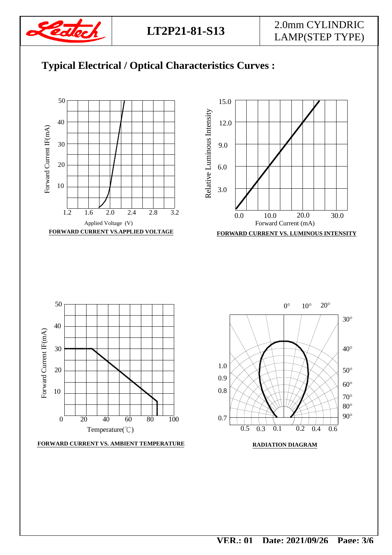

## 2.0mm CYLINDRIC LAMP(STEP TYPE)



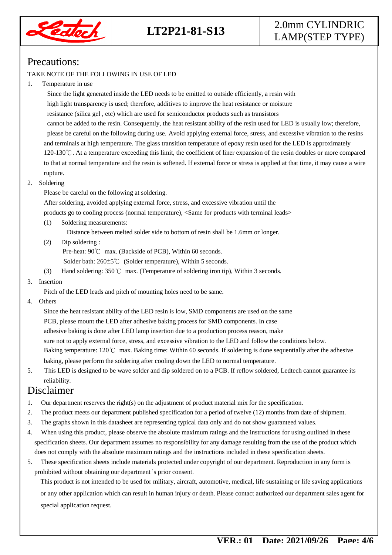

## **LT2P21-81-S13**

## 2.0mm CYLINDRIC LAMP(STEP TYPE)

#### Precautions:

#### TAKE NOTE OF THE FOLLOWING IN USE OF LED

#### 1. Temperature in use

 Since the light generated inside the LED needs to be emitted to outside efficiently, a resin with high light transparency is used; therefore, additives to improve the heat resistance or moisture resistance (silica gel , etc) which are used for semiconductor products such as transistors cannot be added to the resin. Consequently, the heat resistant ability of the resin used for LED is usually low; therefore, please be careful on the following during use. Avoid applying external force, stress, and excessive vibration to the resins and terminals at high temperature. The glass transition temperature of epoxy resin used for the LED is approximately 120-130℃. At a temperature exceeding this limit, the coefficient of liner expansion of the resin doubles or more compared to that at normal temperature and the resin is softened. If external force or stress is applied at that time, it may cause a wire rupture.

#### 2. Soldering

Please be careful on the following at soldering.

After soldering, avoided applying external force, stress, and excessive vibration until the

products go to cooling process (normal temperature), <Same for products with terminal leads>

(1) Soldering measurements:

Distance between melted solder side to bottom of resin shall be 1.6mm or longer.

(2) Dip soldering :

Pre-heat: 90℃ max. (Backside of PCB), Within 60 seconds.

Solder bath: 260±5℃ (Solder temperature), Within 5 seconds.

(3) Hand soldering: 350℃ max. (Temperature of soldering iron tip), Within 3 seconds.

#### 3. Insertion

Pitch of the LED leads and pitch of mounting holes need to be same.

4. Others

 Since the heat resistant ability of the LED resin is low, SMD components are used on the same PCB, please mount the LED after adhesive baking process for SMD components. In case adhesive baking is done after LED lamp insertion due to a production process reason, make sure not to apply external force, stress, and excessive vibration to the LED and follow the conditions below. Baking temperature: 120℃ max. Baking time: Within 60 seconds. If soldering is done sequentially after the adhesive baking, please perform the soldering after cooling down the LED to normal temperature.

5. This LED is designed to be wave solder and dip soldered on to a PCB. If reflow soldered, Ledtech cannot guarantee its reliability.

#### Disclaimer

- 1. Our department reserves the right(s) on the adjustment of product material mix for the specification.
- 2. The product meets our department published specification for a period of twelve (12) months from date of shipment.
- 3. The graphs shown in this datasheet are representing typical data only and do not show guaranteed values.
- 4. When using this product, please observe the absolute maximum ratings and the instructions for using outlined in these specification sheets. Our department assumes no responsibility for any damage resulting from the use of the product which does not comply with the absolute maximum ratings and the instructions included in these specification sheets.
- 5. These specification sheets include materials protected under copyright of our department. Reproduction in any form is prohibited without obtaining our department's prior consent.

This product is not intended to be used for military, aircraft, automotive, medical, life sustaining or life saving applications or any other application which can result in human injury or death. Please contact authorized our department sales agent for special application request.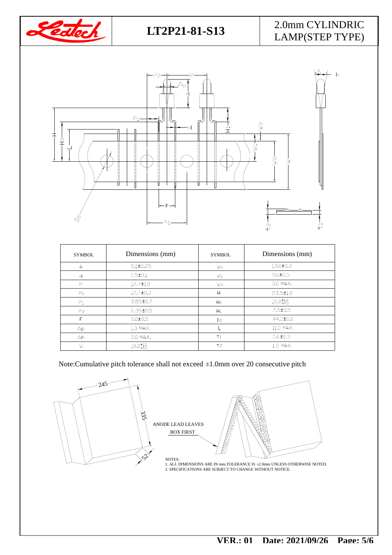

## 2.0mm CYLINDRIC LAMP(STEP TYPE)



| <b>SYMBOL</b>  | Dimensions (mm)      | <b>SYMBOL</b>  | Dimensions (mm)      |
|----------------|----------------------|----------------|----------------------|
| $\overline{A}$ | $5.1 \pm 0.25$       | W0             | $13.0 \pm 0.3$       |
| d              | $0.5 \pm 0.1$        | W1             | $9.0 + 0.5$          |
| P              | $12.7 \pm 1.0$       | W <sub>2</sub> | 3.0 MAX.             |
| P <sub>0</sub> | $12.7 \pm 0.3$       | H              | $23.5 \pm 1.0$       |
| P <sub>1</sub> | $3.85 \pm 0.7$       | $H_0$          | $16.0^{+1.0}_{-0.5}$ |
| P <sub>2</sub> | $6.35 \pm 0.5$       | H1             | $7.5 \pm 0.5$        |
| F              | $5.0 \pm 0.5$        | Do             | Ø4.0±0.2             |
| $\Delta p$     | 1.3 MAX.             |                | 11.0 MAX.            |
| Δh             | 2.0 MAX.             | t <sub>1</sub> | $0.6 \pm 0.3$        |
| W              | $18.0^{+1.0}_{-0.5}$ | t <sub>2</sub> | 1.5 MAX.             |

Note:Cumulative pitch tolerance shall not exceed ±1.0mm over 20 consecutive pitch





2. SPECIFICATIONS ARE SUBJECT TO CHANGE WITHOUT NOTICE. NOTES:<br>1. ALL DIMENSIONS ARE IN mm,TOLERANCE IS ±2.0mm UNLESS OTHERWISE NOTED.